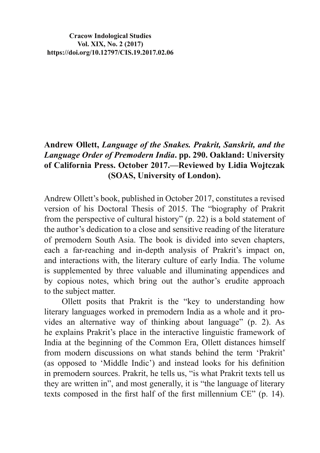**Cracow Indological Studies Vol. XIX, No. 2 (2017) https://doi.org/10.12797/CIS.19.2017.02.06**

## **Andrew Ollett,** *Language of the Snakes. Prakrit, Sanskrit, and the Language Order of Premodern India***. pp. 290. Oakland: University of California Press. October 2017.—Reviewed by Lidia Wojtczak (SOAS, University of London).**

Andrew Ollett's book, published in October 2017, constitutes a revised version of his Doctoral Thesis of 2015. The "biography of Prakrit from the perspective of cultural history" (p. 22) is a bold statement of the author's dedication to a close and sensitive reading of the literature of premodern South Asia. The book is divided into seven chapters, each a far-reaching and in-depth analysis of Prakrit's impact on, and interactions with, the literary culture of early India. The volume is supplemented by three valuable and illuminating appendices and by copious notes, which bring out the author's erudite approach to the subject matter.

Ollett posits that Prakrit is the "key to understanding how literary languages worked in premodern India as a whole and it provides an alternative way of thinking about language" (p. 2). As he explains Prakrit's place in the interactive linguistic framework of India at the beginning of the Common Era, Ollett distances himself from modern discussions on what stands behind the term 'Prakrit' (as opposed to 'Middle Indic') and instead looks for his definition in premodern sources. Prakrit, he tells us, "is what Prakrit texts tell us they are written in", and most generally, it is "the language of literary texts composed in the first half of the first millennium  $CE$ <sup>"</sup> ( $p$ . 14).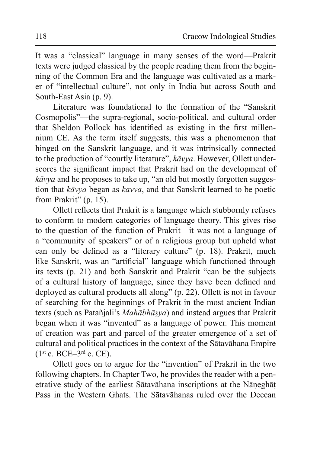It was a "classical" language in many senses of the word—Prakrit texts were judged classical by the people reading them from the beginning of the Common Era and the language was cultivated as a marker of "intellectual culture", not only in India but across South and South-East Asia (p. 9).

Literature was foundational to the formation of the "Sanskrit" Cosmopolis"—the supra-regional, socio-political, and cultural order that Sheldon Pollock has identified as existing in the first millennium CE. As the term itself suggests, this was a phenomenon that hinged on the Sanskrit language, and it was intrinsically connected to the production of "courtly literature", kāvya. However, Ollett underscores the significant impact that Prakrit had on the development of  $k\bar{a}vya$  and he proposes to take up, "an old but mostly forgotten suggestion that kāvya began as kavva, and that Sanskrit learned to be poetic from Prakrit" (p. 15).

Ollett reflects that Prakrit is a language which stubbornly refuses to conform to modern categories of language theory. This gives rise to the question of the function of Prakrit—it was not a language of a "community of speakers" or of a religious group but upheld what can only be defined as a "literary culture" (p. 18). Prakrit, much like Sanskrit, was an "artificial" language which functioned through its texts (p. 21) and both Sanskrit and Prakrit "can be the subjects of a cultural history of language, since they have been defined and deployed as cultural products all along" (p. 22). Ollett is not in favour of searching for the beginnings of Prakrit in the most ancient Indian texts (such as Patañjali's Mahābhāṣya) and instead argues that Prakrit began when it was "invented" as a language of power. This moment of creation was part and parcel of the greater emergence of a set of cultural and political practices in the context of the Satavahana Empire  $(1^{st} c. BCE-3^{rd} c. CE).$ 

Ollett goes on to argue for the "invention" of Prakrit in the two following chapters. In Chapter Two, he provides the reader with a penetrative study of the earliest Sātavāhana inscriptions at the Nāneghāt Pass in the Western Ghats. The Satavahanas ruled over the Deccan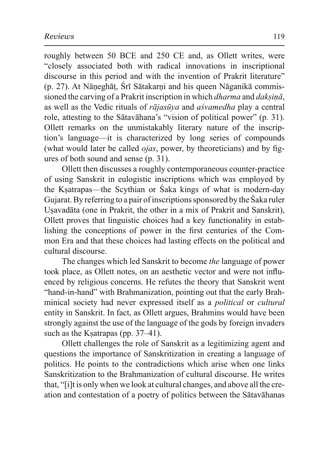roughly between 50 BCE and 250 CE and, as Ollett writes, were "closely associated both with radical innovations in inscriptional discourse in this period and with the invention of Prakrit literature" (p. 27). At Nāneghāt, Śrī Sātakarni and his queen Nāganikā commissioned the carving of a Prakrit inscription in which *dharma* and *daksina*, as well as the Vedic rituals of *rājasūya* and *asvamedha* play a central role, attesting to the Sātavāhana's "vision of political power" (p. 31). Ollett remarks on the unmistakably literary nature of the inscription's language—it is characterized by long series of compounds (what would later be called *ojas*, power, by theoreticians) and by figures of both sound and sense  $(p. 31)$ .

Ollett then discusses a roughly contemporaneous counter-practice of using Sanskrit in eulogistic inscriptions which was employed by the Ksatrapas—the Scythian or Saka kings of what is modern-day Gujarat. By referring to a pair of inscriptions sponsored by the Saka ruler Usavadāta (one in Prakrit, the other in a mix of Prakrit and Sanskrit), Ollett proves that linguistic choices had a key functionality in establishing the conceptions of power in the first centuries of the Common Era and that these choices had lasting effects on the political and cultural discourse.

The changes which led Sanskrit to become the language of power took place, as Ollett notes, on an aesthetic vector and were not influenced by religious concerns. He refutes the theory that Sanskrit went "hand-in-hand" with Brahmanization, pointing out that the early Brahminical society had never expressed itself as a *political* or *cultural* entity in Sanskrit. In fact, as Ollett argues, Brahmins would have been strongly against the use of the language of the gods by foreign invaders such as the Ksatrapas (pp. 37–41).

Ollett challenges the role of Sanskrit as a legitimizing agent and questions the importance of Sanskritization in creating a language of politics. He points to the contradictions which arise when one links Sanskritization to the Brahmanization of cultural discourse. He writes that, "[i]t is only when we look at cultural changes, and above all the creation and contestation of a poetry of politics between the Satavahanas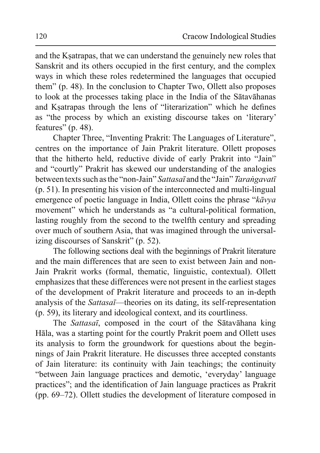and the Ksatrapas, that we can understand the genuinely new roles that Sanskrit and its others occupied in the first century, and the complex ways in which these roles redetermined the languages that occupied them" (p. 48). In the conclusion to Chapter Two, Ollett also proposes to look at the processes taking place in the India of the Sātavāhanas and Ksatrapas through the lens of "literarization" which he defines as "the process by which an existing discourse takes on 'literary' features" (p. 48).

Chapter Three, "Inventing Prakrit: The Languages of Literature", centres on the importance of Jain Prakrit literature. Ollett proposes that the hitherto held, reductive divide of early Prakrit into "Jain" and "courtly" Prakrit has skewed our understanding of the analogies between texts such as the "non-Jain" *Sattasal* and the "Jain" *Tarangavatl* (p. 51). In presenting his vision of the interconnected and multi-lingual emergence of poetic language in India, Ollett coins the phrase "*kāvya* movement" which he understands as "a cultural-political formation, lasting roughly from the second to the twelfth century and spreading over much of southern Asia, that was imagined through the universalizing discourses of Sanskrit" (p. 52).

The following sections deal with the beginnings of Prakrit literature and the main differences that are seen to exist between Jain and non-Jain Prakrit works (formal, thematic, linguistic, contextual). Ollett emphasizes that these differences were not present in the earliest stages of the development of Prakrit literature and proceeds to an in-depth analysis of the *Sattasai*—theories on its dating, its self-representation (p. 59), its literary and ideological context, and its courtliness.

The *Sattasai*, composed in the court of the Satavahana king Hāla, was a starting point for the courtly Prakrit poem and Ollett uses its analysis to form the groundwork for questions about the beginnings of Jain Prakrit literature. He discusses three accepted constants of Jain literature: its continuity with Jain teachings; the continuity "between Jain language practices and demotic, 'everyday' language practices"; and the identification of Jain language practices as Prakrit (pp. 69–72). Ollett studies the development of literature composed in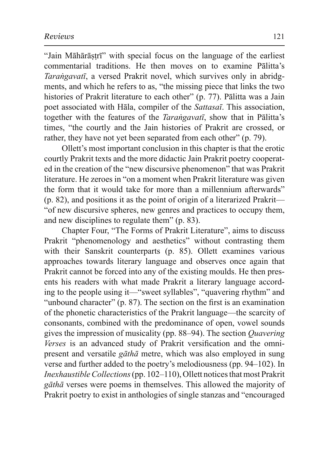"Jain Māhārāstrī" with special focus on the language of the earliest commentarial traditions. He then moves on to examine Pālitta's *Tarangavatī*, a versed Prakrit novel, which survives only in abridgments, and which he refers to as, "the missing piece that links the two histories of Prakrit literature to each other" (p. 77). Pālitta was a Jain poet associated with Hala, compiler of the Sattasai. This association, together with the features of the *Tarangavati*, show that in Palitta's times, "the courtly and the Jain histories of Prakrit are crossed, or rather, they have not yet been separated from each other"  $(p. 79)$ .

Ollett's most important conclusion in this chapter is that the erotic courtly Prakrit texts and the more didactic Jain Prakrit poetry cooperated in the creation of the "new discursive phenomenon" that was Prakrit literature. He zeroes in "on a moment when Prakrit literature was given the form that it would take for more than a millennium afterwards"  $(p. 82)$ , and positions it as the point of origin of a literarized Prakrit— "of new discursive spheres, new genres and practices to occupy them, and new disciplines to regulate them" (p. 83).

Chapter Four, "The Forms of Prakrit Literature", aims to discuss Prakrit "phenomenology and aesthetics" without contrasting them with their Sanskrit counterparts (p. 85). Ollett examines various approaches towards literary language and observes once again that Prakrit cannot be forced into any of the existing moulds. He then presents his readers with what made Prakrit a literary language according to the people using it—"sweet syllables", "quavering rhythm" and "unbound character" (p. 87). The section on the first is an examination of the phonetic characteristics of the Prakrit language—the scarcity of consonants, combined with the predominance of open, vowel sounds gives the impression of musicality (pp. 88–94). The section *Quavering Verses* is an advanced study of Prakrit versification and the omnipresent and versatile *gāthā* metre, which was also employed in sung verse and further added to the poetry's melodiousness (pp.  $94-102$ ). In *Inexhaustible Collections* (pp. 102–110), Ollett notices that most Prakrit *gāthā* verses were poems in themselves. This allowed the majority of Prakrit poetry to exist in anthologies of single stanzas and "encouraged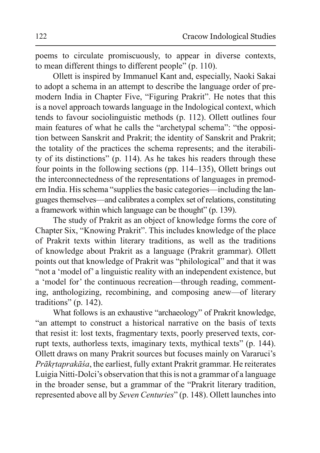poems to circulate promiscuously, to appear in diverse contexts, to mean different things to different people" (p. 110).

Ollett is inspired by Immanuel Kant and, especially, Naoki Sakai to adopt a schema in an attempt to describe the language order of premodern India in Chapter Five, "Figuring Prakrit". He notes that this is a novel approach towards language in the Indological context, which tends to favour sociolinguistic methods (p. 112). Ollett outlines four main features of what he calls the "archetypal schema": "the opposition between Sanskrit and Prakrit; the identity of Sanskrit and Prakrit; the totality of the practices the schema represents; and the iterability of its distinctions" (p. 114). As he takes his readers through these four points in the following sections (pp.  $114-135$ ), Ollett brings out the interconnectedness of the representations of languages in premodern India. His schema "supplies the basic categories—including the languages themselves—and calibrates a complex set of relations, constituting a framework within which language can be thought" (p. 139).

The study of Prakrit as an object of knowledge forms the core of Chapter Six, "Knowing Prakrit". This includes knowledge of the place of Prakrit texts within literary traditions, as well as the traditions of knowledge about Prakrit as a language (Prakrit grammar). Ollett points out that knowledge of Prakrit was "philological" and that it was "not a 'model of' a linguistic reality with an independent existence, but a 'model for' the continuous recreation—through reading, commenting, anthologizing, recombining, and composing anew—of literary traditions" (p. 142).

What follows is an exhaustive "archaeology" of Prakrit knowledge, "an attempt to construct a historical narrative on the basis of texts that resist it: lost texts, fragmentary texts, poorly preserved texts, corrupt texts, authorless texts, imaginary texts, mythical texts" (p. 144). Ollett draws on many Prakrit sources but focuses mainly on Vararuci's *Prākrtaprakāśa*, the earliest, fully extant Prakrit grammar. He reiterates Luigia Nitti-Dolci's observation that this is not a grammar of a language in the broader sense, but a grammar of the "Prakrit literary tradition, represented above all by *Seven Centuries*" (p. 148). Ollett launches into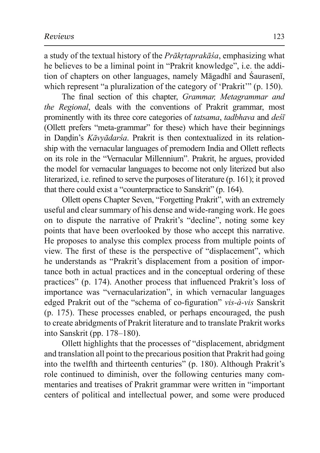a study of the textual history of the *Prākrtaprakāsa*, emphasizing what he believes to be a liminal point in "Prakrit knowledge", i.e. the addition of chapters on other languages, namely Māgadhī and Śaurasenī, which represent "a pluralization of the category of 'Prakrit'" (p. 150).

The final section of this chapter, *Grammar, Metagrammar and the Regional*, deals with the conventions of Prakrit grammar, most prominently with its three core categories of *tatsama*, *tadbhava* and *dest* (Ollett prefers "meta-grammar" for these) which have their beginnings in Dandin's *Kāvvādarsa*. Prakrit is then contextualized in its relationship with the vernacular languages of premodern India and Ollett reflects on its role in the "Vernacular Millennium". Prakrit, he argues, provided the model for vernacular languages to become not only literized but also literarized, i.e. refined to serve the purposes of literature (p. 161); it proved that there could exist a "counterpractice to Sanskrit" (p. 164).

Ollett opens Chapter Seven, "Forgetting Prakrit", with an extremely useful and clear summary of his dense and wide-ranging work. He goes on to dispute the narrative of Prakrit's "decline", noting some key points that have been overlooked by those who accept this narrative. He proposes to analyse this complex process from multiple points of view. The first of these is the perspective of "displacement", which he understands as "Prakrit's displacement from a position of importance both in actual practices and in the conceptual ordering of these practices" (p. 174). Another process that influenced Prakrit's loss of importance was "vernacularization", in which vernacular languages edged Prakrit out of the "schema of co-figuration" vis-à-vis Sanskrit (p. 175). These processes enabled, or perhaps encouraged, the push to create abridgments of Prakrit literature and to translate Prakrit works into Sanskrit (pp. 178–180).

Ollett highlights that the processes of "displacement, abridgment and translation all point to the precarious position that Prakrit had going into the twelfth and thirteenth centuries" (p. 180). Although Prakrit's role continued to diminish, over the following centuries many commentaries and treatises of Prakrit grammar were written in "important" centers of political and intellectual power, and some were produced